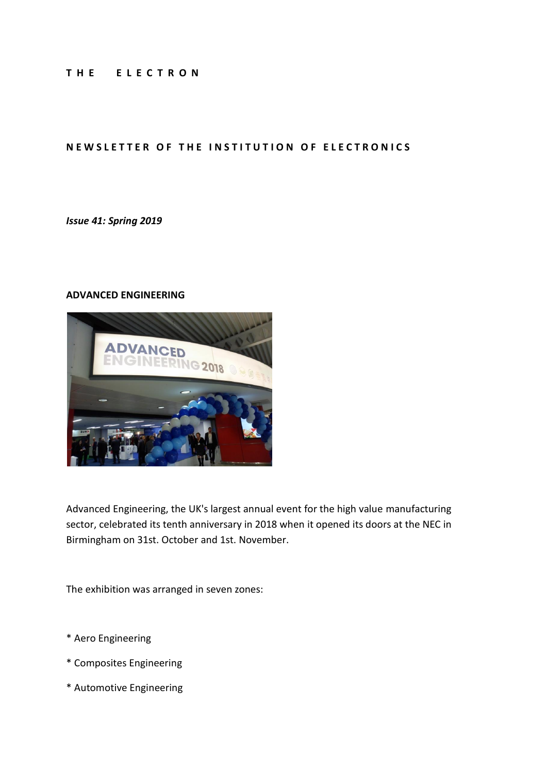#### **T H E E L E C T R O N**

#### **NEW SLETTER OF THE INSTITUTION OF ELECTRONICS**

*Issue 41: Spring 2019*

#### **ADVANCED ENGINEERING**



Advanced Engineering, the UK's largest annual event for the high value manufacturing sector, celebrated its tenth anniversary in 2018 when it opened its doors at the NEC in Birmingham on 31st. October and 1st. November.

The exhibition was arranged in seven zones:

- \* Aero Engineering
- \* Composites Engineering
- \* Automotive Engineering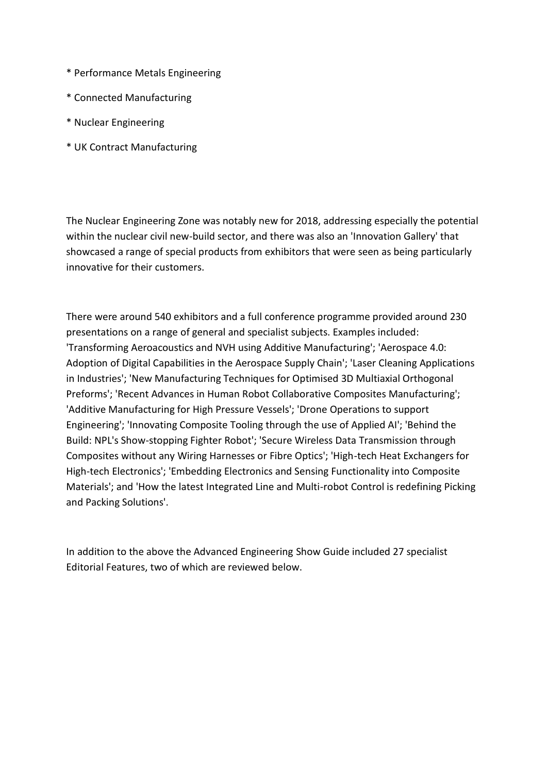- \* Performance Metals Engineering
- \* Connected Manufacturing
- \* Nuclear Engineering
- \* UK Contract Manufacturing

The Nuclear Engineering Zone was notably new for 2018, addressing especially the potential within the nuclear civil new-build sector, and there was also an 'Innovation Gallery' that showcased a range of special products from exhibitors that were seen as being particularly innovative for their customers.

There were around 540 exhibitors and a full conference programme provided around 230 presentations on a range of general and specialist subjects. Examples included: 'Transforming Aeroacoustics and NVH using Additive Manufacturing'; 'Aerospace 4.0: Adoption of Digital Capabilities in the Aerospace Supply Chain'; 'Laser Cleaning Applications in Industries'; 'New Manufacturing Techniques for Optimised 3D Multiaxial Orthogonal Preforms'; 'Recent Advances in Human Robot Collaborative Composites Manufacturing'; 'Additive Manufacturing for High Pressure Vessels'; 'Drone Operations to support Engineering'; 'Innovating Composite Tooling through the use of Applied AI'; 'Behind the Build: NPL's Show-stopping Fighter Robot'; 'Secure Wireless Data Transmission through Composites without any Wiring Harnesses or Fibre Optics'; 'High-tech Heat Exchangers for High-tech Electronics'; 'Embedding Electronics and Sensing Functionality into Composite Materials'; and 'How the latest Integrated Line and Multi-robot Control is redefining Picking and Packing Solutions'.

In addition to the above the Advanced Engineering Show Guide included 27 specialist Editorial Features, two of which are reviewed below.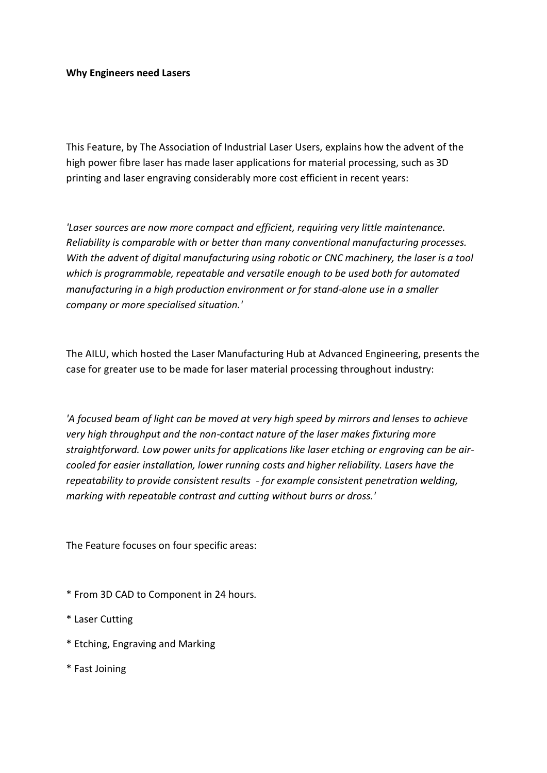#### **Why Engineers need Lasers**

This Feature, by The Association of Industrial Laser Users, explains how the advent of the high power fibre laser has made laser applications for material processing, such as 3D printing and laser engraving considerably more cost efficient in recent years:

*'Laser sources are now more compact and efficient, requiring very little maintenance. Reliability is comparable with or better than many conventional manufacturing processes. With the advent of digital manufacturing using robotic or CNC machinery, the laser is a tool which is programmable, repeatable and versatile enough to be used both for automated manufacturing in a high production environment or for stand-alone use in a smaller company or more specialised situation.'*

The AILU, which hosted the Laser Manufacturing Hub at Advanced Engineering, presents the case for greater use to be made for laser material processing throughout industry:

*'A focused beam of light can be moved at very high speed by mirrors and lenses to achieve very high throughput and the non-contact nature of the laser makes fixturing more straightforward. Low power units for applications like laser etching or engraving can be aircooled for easier installation, lower running costs and higher reliability. Lasers have the repeatability to provide consistent results - for example consistent penetration welding, marking with repeatable contrast and cutting without burrs or dross.'*

The Feature focuses on four specific areas:

- \* From 3D CAD to Component in 24 hours.
- \* Laser Cutting
- \* Etching, Engraving and Marking
- \* Fast Joining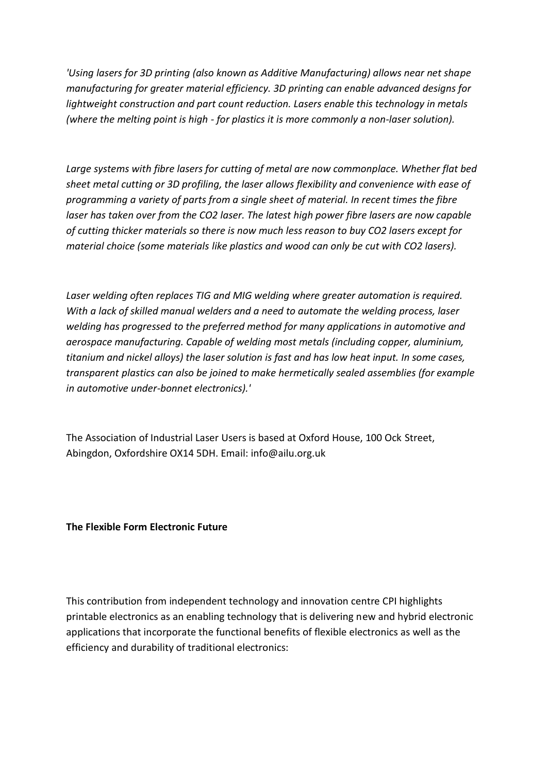*'Using lasers for 3D printing (also known as Additive Manufacturing) allows near net shape manufacturing for greater material efficiency. 3D printing can enable advanced designs for lightweight construction and part count reduction. Lasers enable this technology in metals (where the melting point is high - for plastics it is more commonly a non-laser solution).*

*Large systems with fibre lasers for cutting of metal are now commonplace. Whether flat bed sheet metal cutting or 3D profiling, the laser allows flexibility and convenience with ease of programming a variety of parts from a single sheet of material. In recent times the fibre laser has taken over from the CO2 laser. The latest high power fibre lasers are now capable of cutting thicker materials so there is now much less reason to buy CO2 lasers except for material choice (some materials like plastics and wood can only be cut with CO2 lasers).*

*Laser welding often replaces TIG and MIG welding where greater automation is required. With a lack of skilled manual welders and a need to automate the welding process, laser welding has progressed to the preferred method for many applications in automotive and aerospace manufacturing. Capable of welding most metals (including copper, aluminium, titanium and nickel alloys) the laser solution is fast and has low heat input. In some cases, transparent plastics can also be joined to make hermetically sealed assemblies (for example in automotive under-bonnet electronics).'*

The Association of Industrial Laser Users is based at Oxford House, 100 Ock Street, Abingdon, Oxfordshire OX14 5DH. Email: info@ailu.org.uk

**The Flexible Form Electronic Future**

This contribution from independent technology and innovation centre CPI highlights printable electronics as an enabling technology that is delivering new and hybrid electronic applications that incorporate the functional benefits of flexible electronics as well as the efficiency and durability of traditional electronics: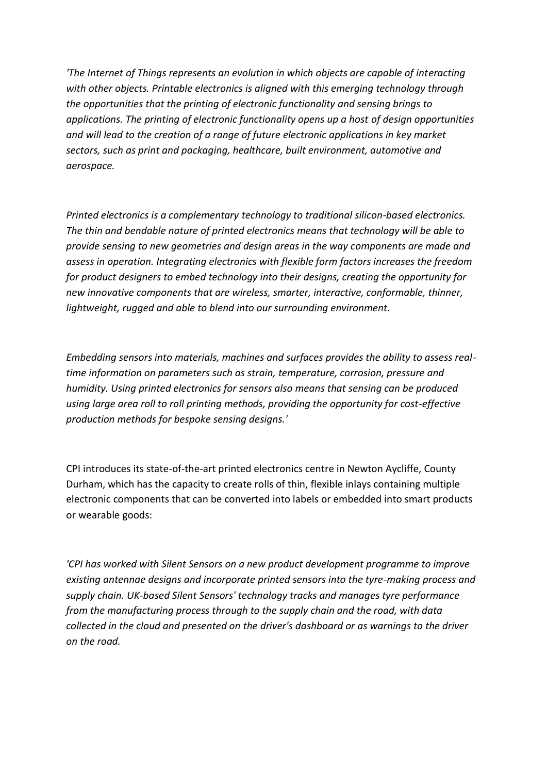*'The Internet of Things represents an evolution in which objects are capable of interacting with other objects. Printable electronics is aligned with this emerging technology through the opportunities that the printing of electronic functionality and sensing brings to applications. The printing of electronic functionality opens up a host of design opportunities and will lead to the creation of a range of future electronic applications in key market sectors, such as print and packaging, healthcare, built environment, automotive and aerospace.*

*Printed electronics is a complementary technology to traditional silicon-based electronics. The thin and bendable nature of printed electronics means that technology will be able to provide sensing to new geometries and design areas in the way components are made and assess in operation. Integrating electronics with flexible form factors increases the freedom for product designers to embed technology into their designs, creating the opportunity for new innovative components that are wireless, smarter, interactive, conformable, thinner, lightweight, rugged and able to blend into our surrounding environment.*

*Embedding sensors into materials, machines and surfaces provides the ability to assess realtime information on parameters such as strain, temperature, corrosion, pressure and humidity. Using printed electronics for sensors also means that sensing can be produced using large area roll to roll printing methods, providing the opportunity for cost-effective production methods for bespoke sensing designs.'*

CPI introduces its state-of-the-art printed electronics centre in Newton Aycliffe, County Durham, which has the capacity to create rolls of thin, flexible inlays containing multiple electronic components that can be converted into labels or embedded into smart products or wearable goods:

*'CPI has worked with Silent Sensors on a new product development programme to improve existing antennae designs and incorporate printed sensors into the tyre-making process and supply chain. UK-based Silent Sensors' technology tracks and manages tyre performance from the manufacturing process through to the supply chain and the road, with data collected in the cloud and presented on the driver's dashboard or as warnings to the driver on the road.*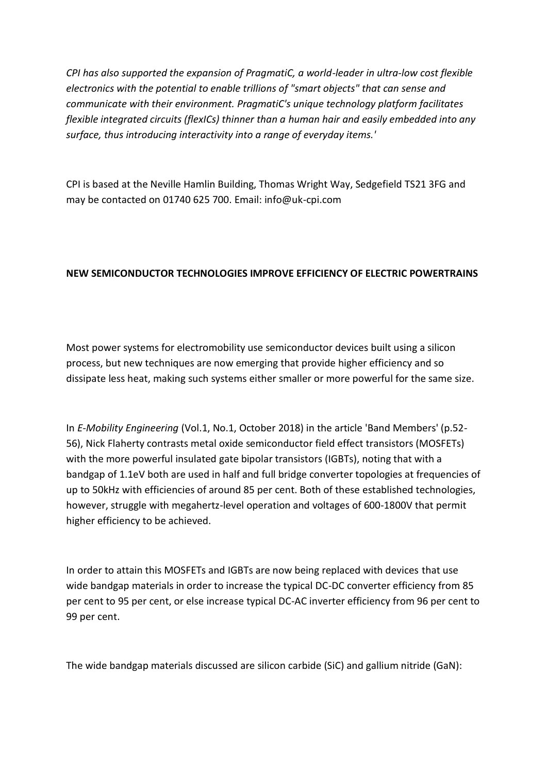*CPI has also supported the expansion of PragmatiC, a world-leader in ultra-low cost flexible electronics with the potential to enable trillions of "smart objects" that can sense and communicate with their environment. PragmatiC's unique technology platform facilitates flexible integrated circuits (flexICs) thinner than a human hair and easily embedded into any surface, thus introducing interactivity into a range of everyday items.'*

CPI is based at the Neville Hamlin Building, Thomas Wright Way, Sedgefield TS21 3FG and may be contacted on 01740 625 700. Email: info@uk-cpi.com

# **NEW SEMICONDUCTOR TECHNOLOGIES IMPROVE EFFICIENCY OF ELECTRIC POWERTRAINS**

Most power systems for electromobility use semiconductor devices built using a silicon process, but new techniques are now emerging that provide higher efficiency and so dissipate less heat, making such systems either smaller or more powerful for the same size.

In *E-Mobility Engineering* (Vol.1, No.1, October 2018) in the article 'Band Members' (p.52- 56), Nick Flaherty contrasts metal oxide semiconductor field effect transistors (MOSFETs) with the more powerful insulated gate bipolar transistors (IGBTs), noting that with a bandgap of 1.1eV both are used in half and full bridge converter topologies at frequencies of up to 50kHz with efficiencies of around 85 per cent. Both of these established technologies, however, struggle with megahertz-level operation and voltages of 600-1800V that permit higher efficiency to be achieved.

In order to attain this MOSFETs and IGBTs are now being replaced with devices that use wide bandgap materials in order to increase the typical DC-DC converter efficiency from 85 per cent to 95 per cent, or else increase typical DC-AC inverter efficiency from 96 per cent to 99 per cent.

The wide bandgap materials discussed are silicon carbide (SiC) and gallium nitride (GaN):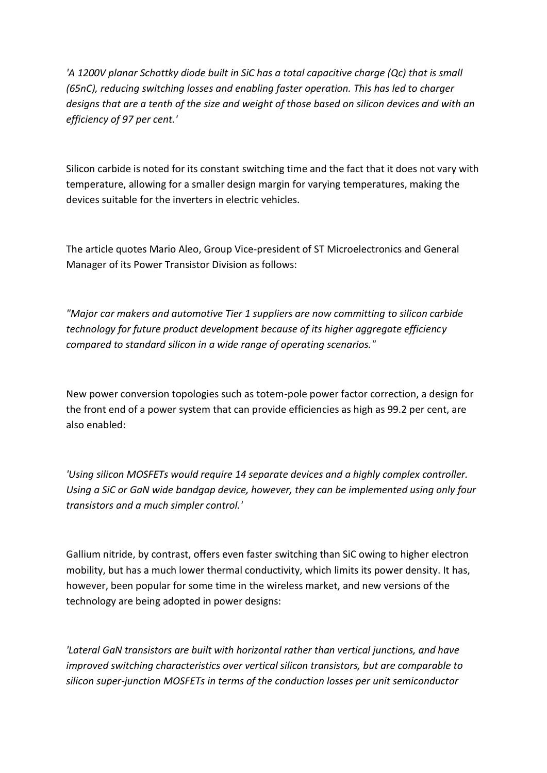*'A 1200V planar Schottky diode built in SiC has a total capacitive charge (Qc) that is small (65nC), reducing switching losses and enabling faster operation. This has led to charger designs that are a tenth of the size and weight of those based on silicon devices and with an efficiency of 97 per cent.'*

Silicon carbide is noted for its constant switching time and the fact that it does not vary with temperature, allowing for a smaller design margin for varying temperatures, making the devices suitable for the inverters in electric vehicles.

The article quotes Mario Aleo, Group Vice-president of ST Microelectronics and General Manager of its Power Transistor Division as follows:

*"Major car makers and automotive Tier 1 suppliers are now committing to silicon carbide technology for future product development because of its higher aggregate efficiency compared to standard silicon in a wide range of operating scenarios."*

New power conversion topologies such as totem-pole power factor correction, a design for the front end of a power system that can provide efficiencies as high as 99.2 per cent, are also enabled:

*'Using silicon MOSFETs would require 14 separate devices and a highly complex controller. Using a SiC or GaN wide bandgap device, however, they can be implemented using only four transistors and a much simpler control.'*

Gallium nitride, by contrast, offers even faster switching than SiC owing to higher electron mobility, but has a much lower thermal conductivity, which limits its power density. It has, however, been popular for some time in the wireless market, and new versions of the technology are being adopted in power designs:

*'Lateral GaN transistors are built with horizontal rather than vertical junctions, and have improved switching characteristics over vertical silicon transistors, but are comparable to silicon super-junction MOSFETs in terms of the conduction losses per unit semiconductor*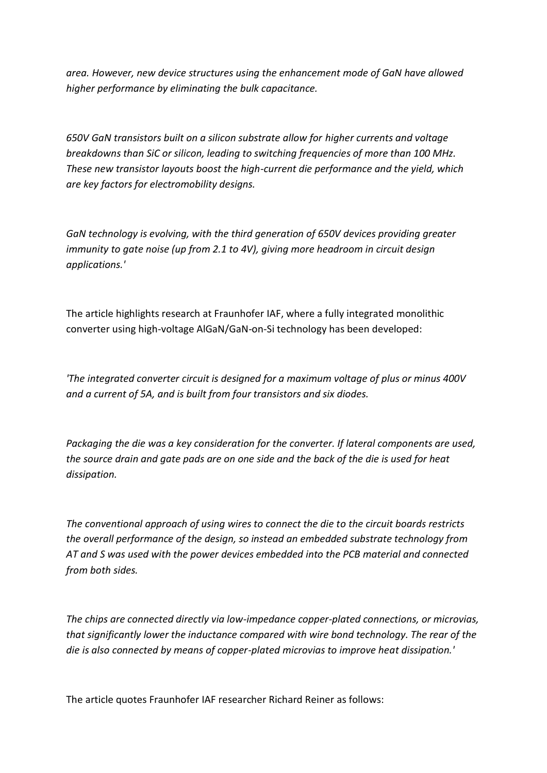*area. However, new device structures using the enhancement mode of GaN have allowed higher performance by eliminating the bulk capacitance.*

*650V GaN transistors built on a silicon substrate allow for higher currents and voltage breakdowns than SiC or silicon, leading to switching frequencies of more than 100 MHz. These new transistor layouts boost the high-current die performance and the yield, which are key factors for electromobility designs.*

*GaN technology is evolving, with the third generation of 650V devices providing greater immunity to gate noise (up from 2.1 to 4V), giving more headroom in circuit design applications.'*

The article highlights research at Fraunhofer IAF, where a fully integrated monolithic converter using high-voltage AlGaN/GaN-on-Si technology has been developed:

*'The integrated converter circuit is designed for a maximum voltage of plus or minus 400V and a current of 5A, and is built from four transistors and six diodes.* 

*Packaging the die was a key consideration for the converter. If lateral components are used, the source drain and gate pads are on one side and the back of the die is used for heat dissipation.*

*The conventional approach of using wires to connect the die to the circuit boards restricts the overall performance of the design, so instead an embedded substrate technology from AT and S was used with the power devices embedded into the PCB material and connected from both sides.*

*The chips are connected directly via low-impedance copper-plated connections, or microvias, that significantly lower the inductance compared with wire bond technology. The rear of the die is also connected by means of copper-plated microvias to improve heat dissipation.'*

The article quotes Fraunhofer IAF researcher Richard Reiner as follows: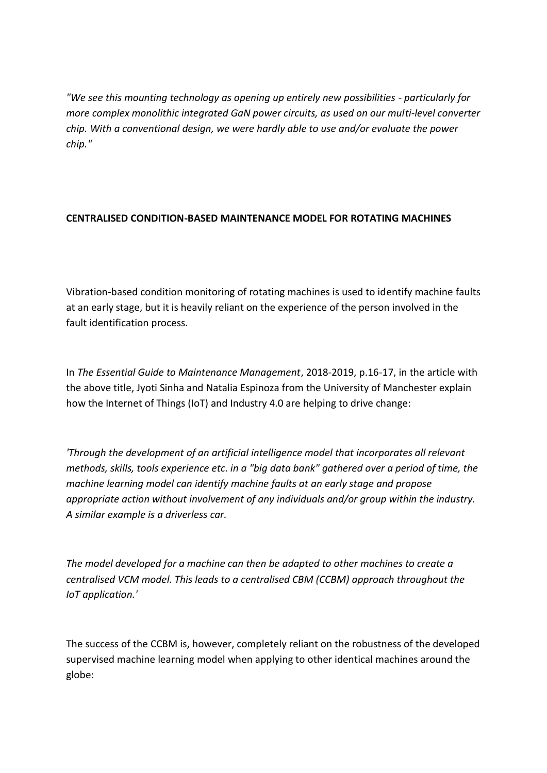*"We see this mounting technology as opening up entirely new possibilities - particularly for more complex monolithic integrated GaN power circuits, as used on our multi-level converter chip. With a conventional design, we were hardly able to use and/or evaluate the power chip."*

# **CENTRALISED CONDITION-BASED MAINTENANCE MODEL FOR ROTATING MACHINES**

Vibration-based condition monitoring of rotating machines is used to identify machine faults at an early stage, but it is heavily reliant on the experience of the person involved in the fault identification process.

In *The Essential Guide to Maintenance Management*, 2018-2019, p.16-17, in the article with the above title, Jyoti Sinha and Natalia Espinoza from the University of Manchester explain how the Internet of Things (IoT) and Industry 4.0 are helping to drive change:

*'Through the development of an artificial intelligence model that incorporates all relevant methods, skills, tools experience etc. in a "big data bank" gathered over a period of time, the machine learning model can identify machine faults at an early stage and propose appropriate action without involvement of any individuals and/or group within the industry. A similar example is a driverless car.*

*The model developed for a machine can then be adapted to other machines to create a centralised VCM model. This leads to a centralised CBM (CCBM) approach throughout the IoT application.'*

The success of the CCBM is, however, completely reliant on the robustness of the developed supervised machine learning model when applying to other identical machines around the globe: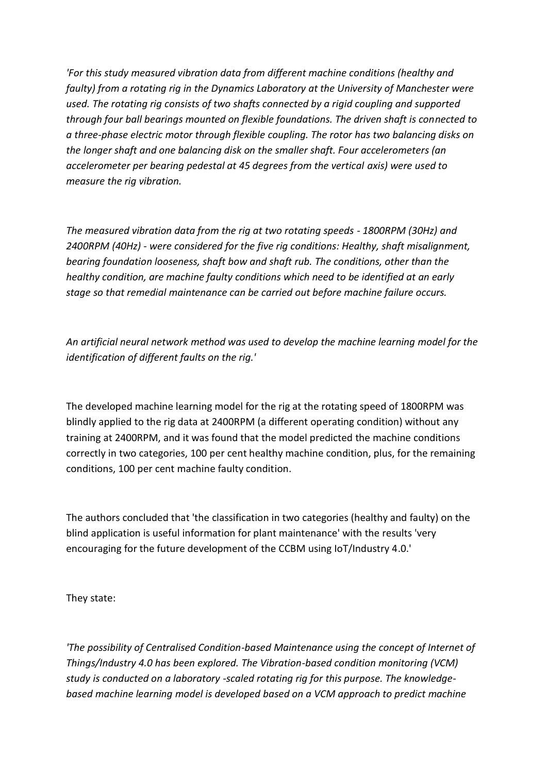*'For this study measured vibration data from different machine conditions (healthy and faulty) from a rotating rig in the Dynamics Laboratory at the University of Manchester were used. The rotating rig consists of two shafts connected by a rigid coupling and supported through four ball bearings mounted on flexible foundations. The driven shaft is connected to a three-phase electric motor through flexible coupling. The rotor has two balancing disks on the longer shaft and one balancing disk on the smaller shaft. Four accelerometers (an accelerometer per bearing pedestal at 45 degrees from the vertical axis) were used to measure the rig vibration.*

*The measured vibration data from the rig at two rotating speeds - 1800RPM (30Hz) and 2400RPM (40Hz) - were considered for the five rig conditions: Healthy, shaft misalignment, bearing foundation looseness, shaft bow and shaft rub. The conditions, other than the healthy condition, are machine faulty conditions which need to be identified at an early stage so that remedial maintenance can be carried out before machine failure occurs.*

*An artificial neural network method was used to develop the machine learning model for the identification of different faults on the rig.'*

The developed machine learning model for the rig at the rotating speed of 1800RPM was blindly applied to the rig data at 2400RPM (a different operating condition) without any training at 2400RPM, and it was found that the model predicted the machine conditions correctly in two categories, 100 per cent healthy machine condition, plus, for the remaining conditions, 100 per cent machine faulty condition.

The authors concluded that 'the classification in two categories (healthy and faulty) on the blind application is useful information for plant maintenance' with the results 'very encouraging for the future development of the CCBM using IoT/Industry 4.0.'

They state:

*'The possibility of Centralised Condition-based Maintenance using the concept of Internet of Things/Industry 4.0 has been explored. The Vibration-based condition monitoring (VCM) study is conducted on a laboratory -scaled rotating rig for this purpose. The knowledgebased machine learning model is developed based on a VCM approach to predict machine*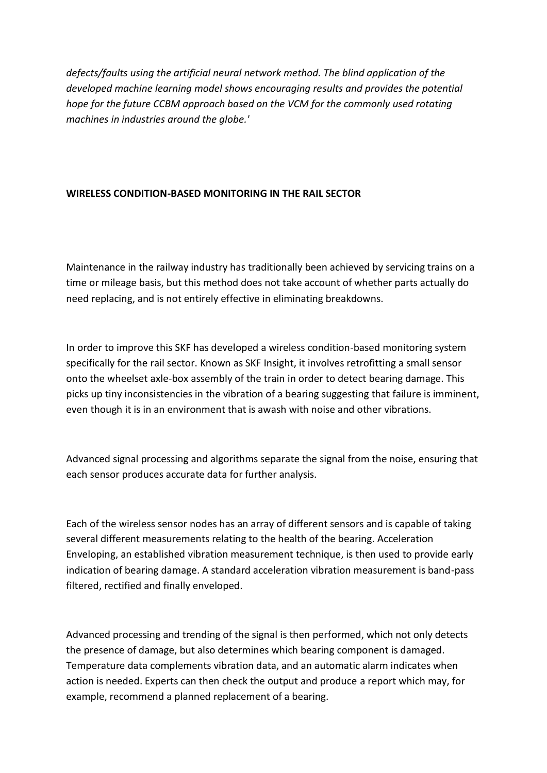*defects/faults using the artificial neural network method. The blind application of the developed machine learning model shows encouraging results and provides the potential hope for the future CCBM approach based on the VCM for the commonly used rotating machines in industries around the globe.'* 

### **WIRELESS CONDITION-BASED MONITORING IN THE RAIL SECTOR**

Maintenance in the railway industry has traditionally been achieved by servicing trains on a time or mileage basis, but this method does not take account of whether parts actually do need replacing, and is not entirely effective in eliminating breakdowns.

In order to improve this SKF has developed a wireless condition-based monitoring system specifically for the rail sector. Known as SKF Insight, it involves retrofitting a small sensor onto the wheelset axle-box assembly of the train in order to detect bearing damage. This picks up tiny inconsistencies in the vibration of a bearing suggesting that failure is imminent, even though it is in an environment that is awash with noise and other vibrations.

Advanced signal processing and algorithms separate the signal from the noise, ensuring that each sensor produces accurate data for further analysis.

Each of the wireless sensor nodes has an array of different sensors and is capable of taking several different measurements relating to the health of the bearing. Acceleration Enveloping, an established vibration measurement technique, is then used to provide early indication of bearing damage. A standard acceleration vibration measurement is band-pass filtered, rectified and finally enveloped.

Advanced processing and trending of the signal is then performed, which not only detects the presence of damage, but also determines which bearing component is damaged. Temperature data complements vibration data, and an automatic alarm indicates when action is needed. Experts can then check the output and produce a report which may, for example, recommend a planned replacement of a bearing.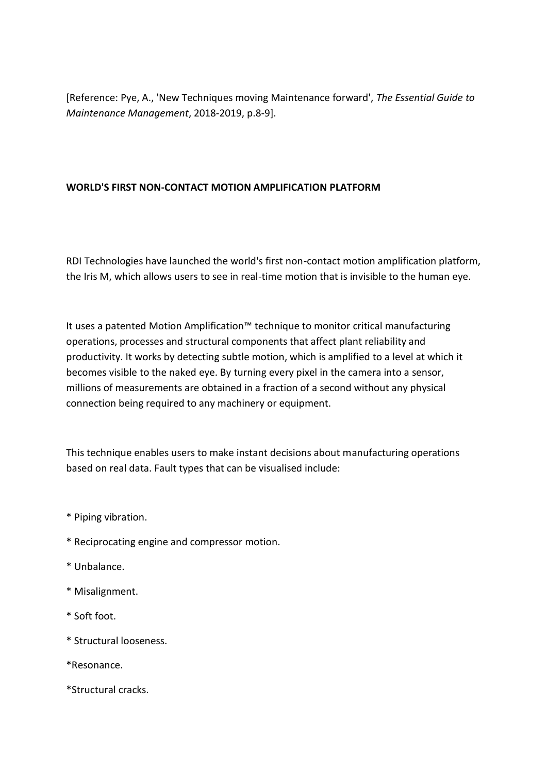[Reference: Pye, A., 'New Techniques moving Maintenance forward', *The Essential Guide to Maintenance Management*, 2018-2019, p.8-9].

## **WORLD'S FIRST NON-CONTACT MOTION AMPLIFICATION PLATFORM**

RDI Technologies have launched the world's first non-contact motion amplification platform, the Iris M, which allows users to see in real-time motion that is invisible to the human eye.

It uses a patented Motion Amplification™ technique to monitor critical manufacturing operations, processes and structural components that affect plant reliability and productivity. It works by detecting subtle motion, which is amplified to a level at which it becomes visible to the naked eye. By turning every pixel in the camera into a sensor, millions of measurements are obtained in a fraction of a second without any physical connection being required to any machinery or equipment.

This technique enables users to make instant decisions about manufacturing operations based on real data. Fault types that can be visualised include:

- \* Piping vibration.
- \* Reciprocating engine and compressor motion.
- \* Unbalance.
- \* Misalignment.
- \* Soft foot.
- \* Structural looseness.
- \*Resonance.
- \*Structural cracks.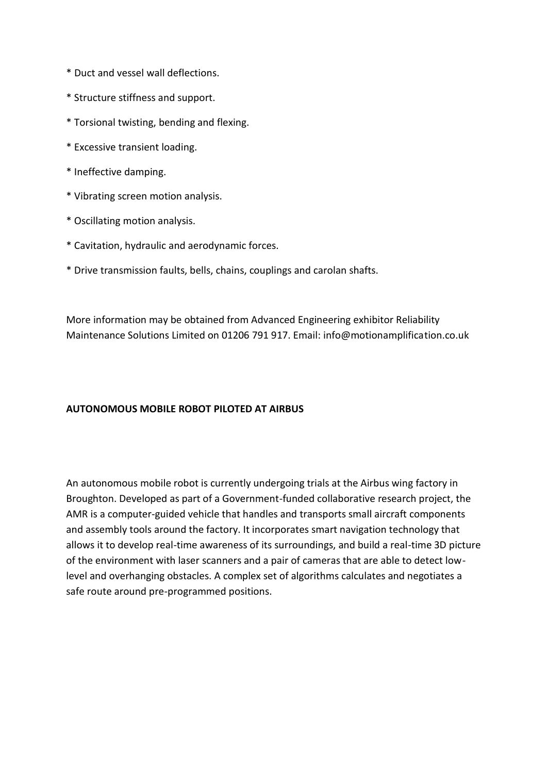- \* Duct and vessel wall deflections.
- \* Structure stiffness and support.
- \* Torsional twisting, bending and flexing.
- \* Excessive transient loading.
- \* Ineffective damping.
- \* Vibrating screen motion analysis.
- \* Oscillating motion analysis.
- \* Cavitation, hydraulic and aerodynamic forces.
- \* Drive transmission faults, bells, chains, couplings and carolan shafts.

More information may be obtained from Advanced Engineering exhibitor Reliability Maintenance Solutions Limited on 01206 791 917. Email: info@motionamplification.co.uk

#### **AUTONOMOUS MOBILE ROBOT PILOTED AT AIRBUS**

An autonomous mobile robot is currently undergoing trials at the Airbus wing factory in Broughton. Developed as part of a Government-funded collaborative research project, the AMR is a computer-guided vehicle that handles and transports small aircraft components and assembly tools around the factory. It incorporates smart navigation technology that allows it to develop real-time awareness of its surroundings, and build a real-time 3D picture of the environment with laser scanners and a pair of cameras that are able to detect lowlevel and overhanging obstacles. A complex set of algorithms calculates and negotiates a safe route around pre-programmed positions.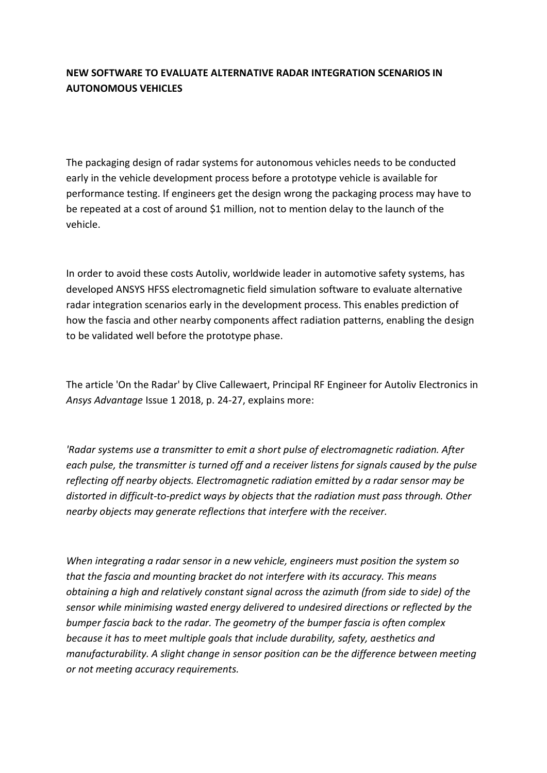# **NEW SOFTWARE TO EVALUATE ALTERNATIVE RADAR INTEGRATION SCENARIOS IN AUTONOMOUS VEHICLES**

The packaging design of radar systems for autonomous vehicles needs to be conducted early in the vehicle development process before a prototype vehicle is available for performance testing. If engineers get the design wrong the packaging process may have to be repeated at a cost of around \$1 million, not to mention delay to the launch of the vehicle.

In order to avoid these costs Autoliv, worldwide leader in automotive safety systems, has developed ANSYS HFSS electromagnetic field simulation software to evaluate alternative radar integration scenarios early in the development process. This enables prediction of how the fascia and other nearby components affect radiation patterns, enabling the design to be validated well before the prototype phase.

The article 'On the Radar' by Clive Callewaert, Principal RF Engineer for Autoliv Electronics in *Ansys Advantage* Issue 1 2018, p. 24-27, explains more:

*'Radar systems use a transmitter to emit a short pulse of electromagnetic radiation. After each pulse, the transmitter is turned off and a receiver listens for signals caused by the pulse reflecting off nearby objects. Electromagnetic radiation emitted by a radar sensor may be distorted in difficult-to-predict ways by objects that the radiation must pass through. Other nearby objects may generate reflections that interfere with the receiver.*

*When integrating a radar sensor in a new vehicle, engineers must position the system so that the fascia and mounting bracket do not interfere with its accuracy. This means obtaining a high and relatively constant signal across the azimuth (from side to side) of the sensor while minimising wasted energy delivered to undesired directions or reflected by the bumper fascia back to the radar. The geometry of the bumper fascia is often complex because it has to meet multiple goals that include durability, safety, aesthetics and manufacturability. A slight change in sensor position can be the difference between meeting or not meeting accuracy requirements.*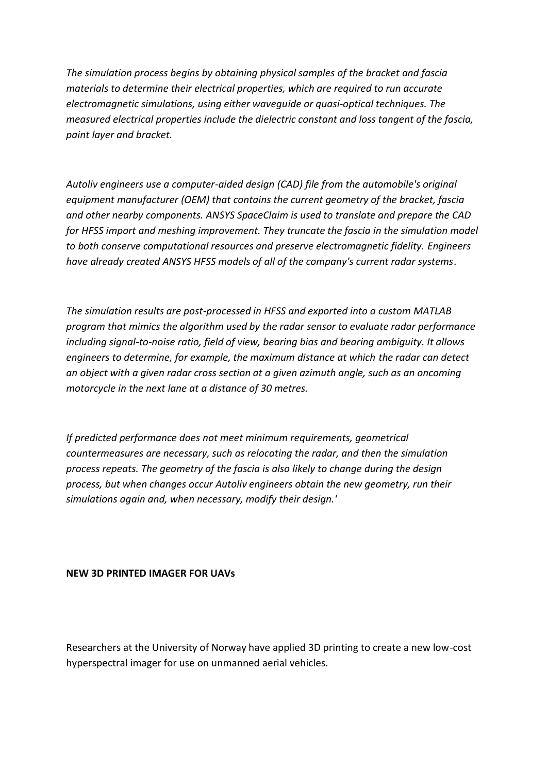*The simulation process begins by obtaining physical samples of the bracket and fascia materials to determine their electrical properties, which are required to run accurate electromagnetic simulations, using either waveguide or quasi-optical techniques. The measured electrical properties include the dielectric constant and loss tangent of the fascia, paint layer and bracket.*

*Autoliv engineers use a computer-aided design (CAD) file from the automobile's original equipment manufacturer (OEM) that contains the current geometry of the bracket, fascia and other nearby components. ANSYS SpaceClaim is used to translate and prepare the CAD for HFSS import and meshing improvement. They truncate the fascia in the simulation model to both conserve computational resources and preserve electromagnetic fidelity. Engineers have already created ANSYS HFSS models of all of the company's current radar systems*.

*The simulation results are post-processed in HFSS and exported into a custom MATLAB program that mimics the algorithm used by the radar sensor to evaluate radar performance including signal-to-noise ratio, field of view, bearing bias and bearing ambiguity. It allows engineers to determine, for example, the maximum distance at which the radar can detect an object with a given radar cross section at a given azimuth angle, such as an oncoming motorcycle in the next lane at a distance of 30 metres.*

*If predicted performance does not meet minimum requirements, geometrical countermeasures are necessary, such as relocating the radar, and then the simulation process repeats. The geometry of the fascia is also likely to change during the design process, but when changes occur Autoliv engineers obtain the new geometry, run their simulations again and, when necessary, modify their design.'*

#### **NEW 3D PRINTED IMAGER FOR UAVs**

Researchers at the University of Norway have applied 3D printing to create a new low-cost hyperspectral imager for use on unmanned aerial vehicles.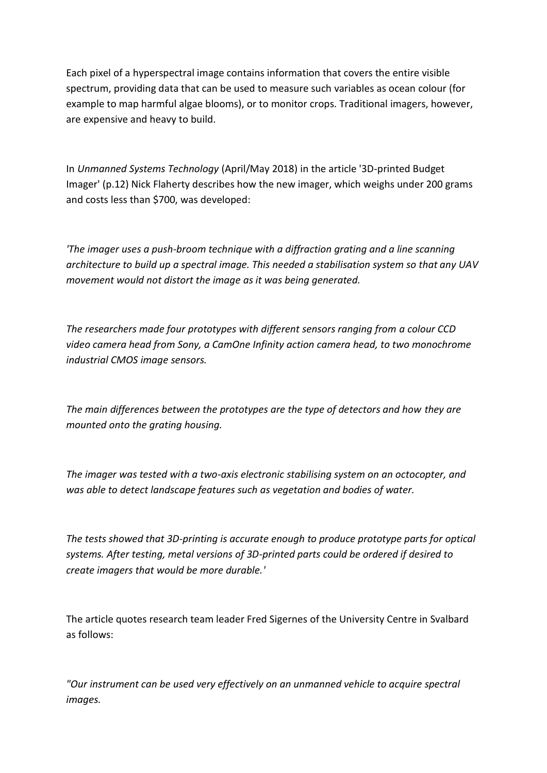Each pixel of a hyperspectral image contains information that covers the entire visible spectrum, providing data that can be used to measure such variables as ocean colour (for example to map harmful algae blooms), or to monitor crops. Traditional imagers, however, are expensive and heavy to build.

In *Unmanned Systems Technology* (April/May 2018) in the article '3D-printed Budget Imager' (p.12) Nick Flaherty describes how the new imager, which weighs under 200 grams and costs less than \$700, was developed:

*'The imager uses a push-broom technique with a diffraction grating and a line scanning architecture to build up a spectral image. This needed a stabilisation system so that any UAV movement would not distort the image as it was being generated.*

*The researchers made four prototypes with different sensors ranging from a colour CCD video camera head from Sony, a CamOne Infinity action camera head, to two monochrome industrial CMOS image sensors.*

*The main differences between the prototypes are the type of detectors and how they are mounted onto the grating housing.*

*The imager was tested with a two-axis electronic stabilising system on an octocopter, and was able to detect landscape features such as vegetation and bodies of water.*

*The tests showed that 3D-printing is accurate enough to produce prototype parts for optical systems. After testing, metal versions of 3D-printed parts could be ordered if desired to create imagers that would be more durable.'*

The article quotes research team leader Fred Sigernes of the University Centre in Svalbard as follows:

*"Our instrument can be used very effectively on an unmanned vehicle to acquire spectral images.*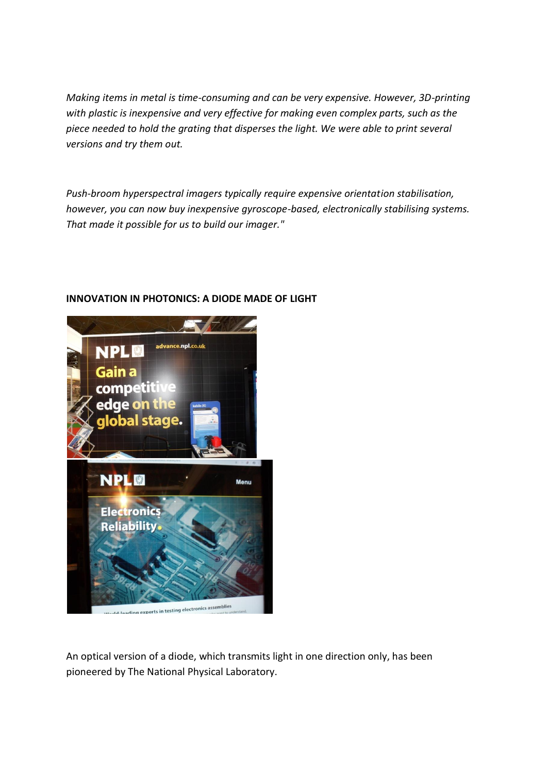*Making items in metal is time-consuming and can be very expensive. However, 3D-printing with plastic is inexpensive and very effective for making even complex parts, such as the piece needed to hold the grating that disperses the light. We were able to print several versions and try them out.*

*Push-broom hyperspectral imagers typically require expensive orientation stabilisation, however, you can now buy inexpensive gyroscope-based, electronically stabilising systems. That made it possible for us to build our imager."*



## **INNOVATION IN PHOTONICS: A DIODE MADE OF LIGHT**

An optical version of a diode, which transmits light in one direction only, has been pioneered by The National Physical Laboratory.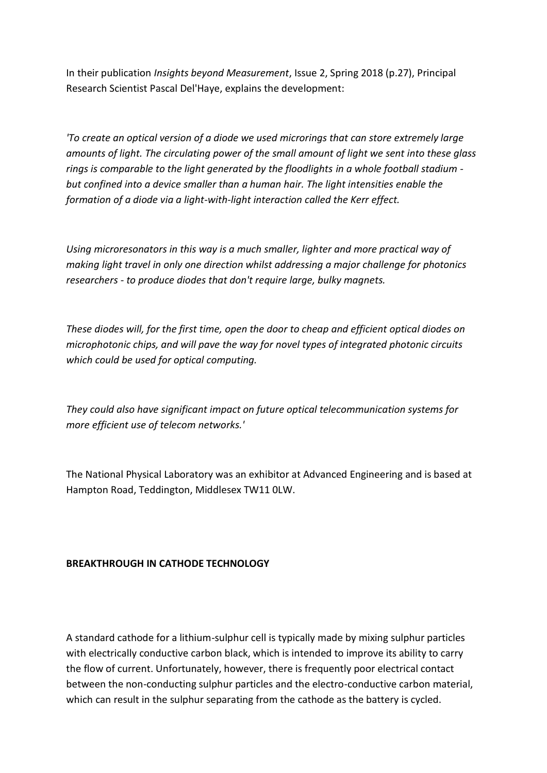In their publication *Insights beyond Measurement*, Issue 2, Spring 2018 (p.27), Principal Research Scientist Pascal Del'Haye, explains the development:

*'To create an optical version of a diode we used microrings that can store extremely large amounts of light. The circulating power of the small amount of light we sent into these glass rings is comparable to the light generated by the floodlights in a whole football stadium but confined into a device smaller than a human hair. The light intensities enable the formation of a diode via a light-with-light interaction called the Kerr effect.*

*Using microresonators in this way is a much smaller, lighter and more practical way of making light travel in only one direction whilst addressing a major challenge for photonics researchers - to produce diodes that don't require large, bulky magnets.*

*These diodes will, for the first time, open the door to cheap and efficient optical diodes on microphotonic chips, and will pave the way for novel types of integrated photonic circuits which could be used for optical computing.*

*They could also have significant impact on future optical telecommunication systems for more efficient use of telecom networks.'*

The National Physical Laboratory was an exhibitor at Advanced Engineering and is based at Hampton Road, Teddington, Middlesex TW11 0LW.

#### **BREAKTHROUGH IN CATHODE TECHNOLOGY**

A standard cathode for a lithium-sulphur cell is typically made by mixing sulphur particles with electrically conductive carbon black, which is intended to improve its ability to carry the flow of current. Unfortunately, however, there is frequently poor electrical contact between the non-conducting sulphur particles and the electro-conductive carbon material, which can result in the sulphur separating from the cathode as the battery is cycled.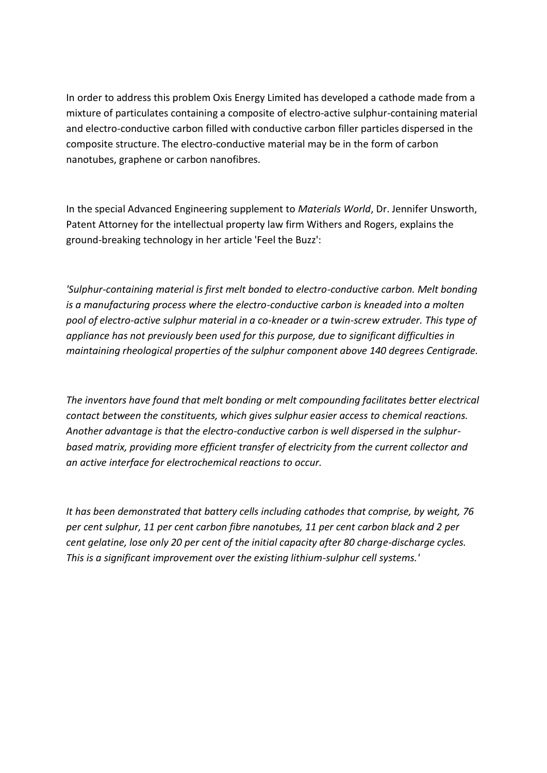In order to address this problem Oxis Energy Limited has developed a cathode made from a mixture of particulates containing a composite of electro-active sulphur-containing material and electro-conductive carbon filled with conductive carbon filler particles dispersed in the composite structure. The electro-conductive material may be in the form of carbon nanotubes, graphene or carbon nanofibres.

In the special Advanced Engineering supplement to *Materials World*, Dr. Jennifer Unsworth, Patent Attorney for the intellectual property law firm Withers and Rogers, explains the ground-breaking technology in her article 'Feel the Buzz':

*'Sulphur-containing material is first melt bonded to electro-conductive carbon. Melt bonding is a manufacturing process where the electro-conductive carbon is kneaded into a molten pool of electro-active sulphur material in a co-kneader or a twin-screw extruder. This type of appliance has not previously been used for this purpose, due to significant difficulties in maintaining rheological properties of the sulphur component above 140 degrees Centigrade.*

*The inventors have found that melt bonding or melt compounding facilitates better electrical contact between the constituents, which gives sulphur easier access to chemical reactions. Another advantage is that the electro-conductive carbon is well dispersed in the sulphurbased matrix, providing more efficient transfer of electricity from the current collector and an active interface for electrochemical reactions to occur.*

*It has been demonstrated that battery cells including cathodes that comprise, by weight, 76 per cent sulphur, 11 per cent carbon fibre nanotubes, 11 per cent carbon black and 2 per cent gelatine, lose only 20 per cent of the initial capacity after 80 charge-discharge cycles. This is a significant improvement over the existing lithium-sulphur cell systems.'*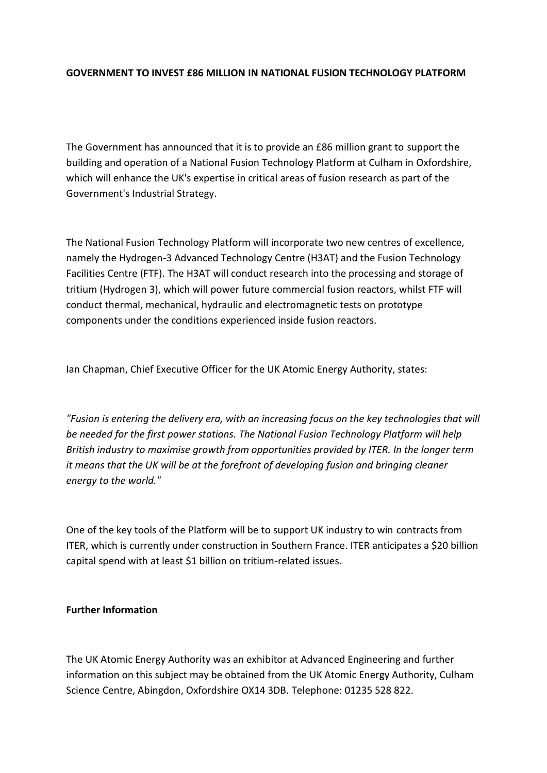### **GOVERNMENT TO INVEST £86 MILLION IN NATIONAL FUSION TECHNOLOGY PLATFORM**

The Government has announced that it is to provide an £86 million grant to support the building and operation of a National Fusion Technology Platform at Culham in Oxfordshire, which will enhance the UK's expertise in critical areas of fusion research as part of the Government's Industrial Strategy.

The National Fusion Technology Platform will incorporate two new centres of excellence, namely the Hydrogen-3 Advanced Technology Centre (H3AT) and the Fusion Technology Facilities Centre (FTF). The H3AT will conduct research into the processing and storage of tritium (Hydrogen 3), which will power future commercial fusion reactors, whilst FTF will conduct thermal, mechanical, hydraulic and electromagnetic tests on prototype components under the conditions experienced inside fusion reactors.

Ian Chapman, Chief Executive Officer for the UK Atomic Energy Authority, states:

*"Fusion is entering the delivery era, with an increasing focus on the key technologies that will be needed for the first power stations. The National Fusion Technology Platform will help British industry to maximise growth from opportunities provided by ITER. In the longer term it means that the UK will be at the forefront of developing fusion and bringing cleaner energy to the world."*

One of the key tools of the Platform will be to support UK industry to win contracts from ITER, which is currently under construction in Southern France. ITER anticipates a \$20 billion capital spend with at least \$1 billion on tritium-related issues.

#### **Further Information**

The UK Atomic Energy Authority was an exhibitor at Advanced Engineering and further information on this subject may be obtained from the UK Atomic Energy Authority, Culham Science Centre, Abingdon, Oxfordshire OX14 3DB. Telephone: 01235 528 822.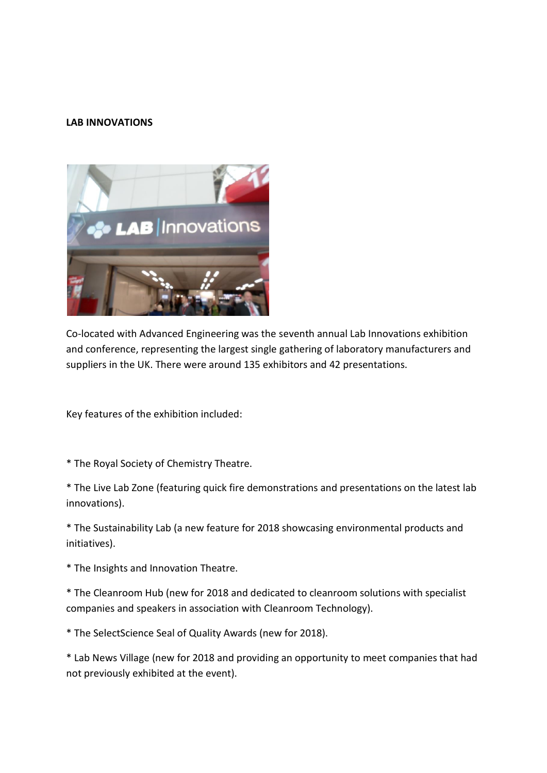#### **LAB INNOVATIONS**



Co-located with Advanced Engineering was the seventh annual Lab Innovations exhibition and conference, representing the largest single gathering of laboratory manufacturers and suppliers in the UK. There were around 135 exhibitors and 42 presentations.

Key features of the exhibition included:

\* The Royal Society of Chemistry Theatre.

\* The Live Lab Zone (featuring quick fire demonstrations and presentations on the latest lab innovations).

\* The Sustainability Lab (a new feature for 2018 showcasing environmental products and initiatives).

\* The Insights and Innovation Theatre.

\* The Cleanroom Hub (new for 2018 and dedicated to cleanroom solutions with specialist companies and speakers in association with Cleanroom Technology).

\* The SelectScience Seal of Quality Awards (new for 2018).

\* Lab News Village (new for 2018 and providing an opportunity to meet companies that had not previously exhibited at the event).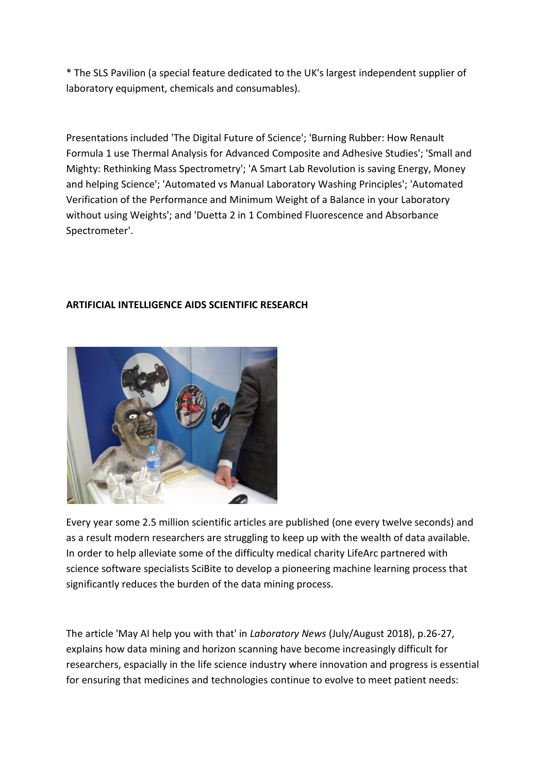\* The SLS Pavilion (a special feature dedicated to the UK's largest independent supplier of laboratory equipment, chemicals and consumables).

Presentations included 'The Digital Future of Science'; 'Burning Rubber: How Renault Formula 1 use Thermal Analysis for Advanced Composite and Adhesive Studies'; 'Small and Mighty: Rethinking Mass Spectrometry'; 'A Smart Lab Revolution is saving Energy, Money and helping Science'; 'Automated vs Manual Laboratory Washing Principles'; 'Automated Verification of the Performance and Minimum Weight of a Balance in your Laboratory without using Weights'; and 'Duetta 2 in 1 Combined Fluorescence and Absorbance Spectrometer'.

## **ARTIFICIAL INTELLIGENCE AIDS SCIENTIFIC RESEARCH**



Every year some 2.5 million scientific articles are published (one every twelve seconds) and as a result modern researchers are struggling to keep up with the wealth of data available. In order to help alleviate some of the difficulty medical charity LifeArc partnered with science software specialists SciBite to develop a pioneering machine learning process that significantly reduces the burden of the data mining process.

The article 'May AI help you with that' in *Laboratory News* (July/August 2018), p.26-27, explains how data mining and horizon scanning have become increasingly difficult for researchers, espacially in the life science industry where innovation and progress is essential for ensuring that medicines and technologies continue to evolve to meet patient needs: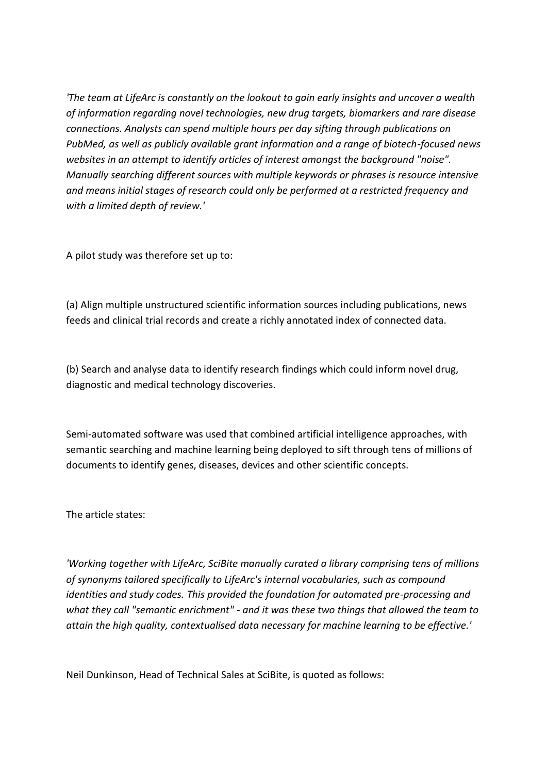*'The team at LifeArc is constantly on the lookout to gain early insights and uncover a wealth of information regarding novel technologies, new drug targets, biomarkers and rare disease connections. Analysts can spend multiple hours per day sifting through publications on PubMed, as well as publicly available grant information and a range of biotech-focused news websites in an attempt to identify articles of interest amongst the background "noise". Manually searching different sources with multiple keywords or phrases is resource intensive and means initial stages of research could only be performed at a restricted frequency and with a limited depth of review.'*

A pilot study was therefore set up to:

(a) Align multiple unstructured scientific information sources including publications, news feeds and clinical trial records and create a richly annotated index of connected data.

(b) Search and analyse data to identify research findings which could inform novel drug, diagnostic and medical technology discoveries.

Semi-automated software was used that combined artificial intelligence approaches, with semantic searching and machine learning being deployed to sift through tens of millions of documents to identify genes, diseases, devices and other scientific concepts.

The article states:

*'Working together with LifeArc, SciBite manually curated a library comprising tens of millions of synonyms tailored specifically to LifeArc's internal vocabularies, such as compound identities and study codes. This provided the foundation for automated pre-processing and what they call "semantic enrichment" - and it was these two things that allowed the team to attain the high quality, contextualised data necessary for machine learning to be effective.'*

Neil Dunkinson, Head of Technical Sales at SciBite, is quoted as follows: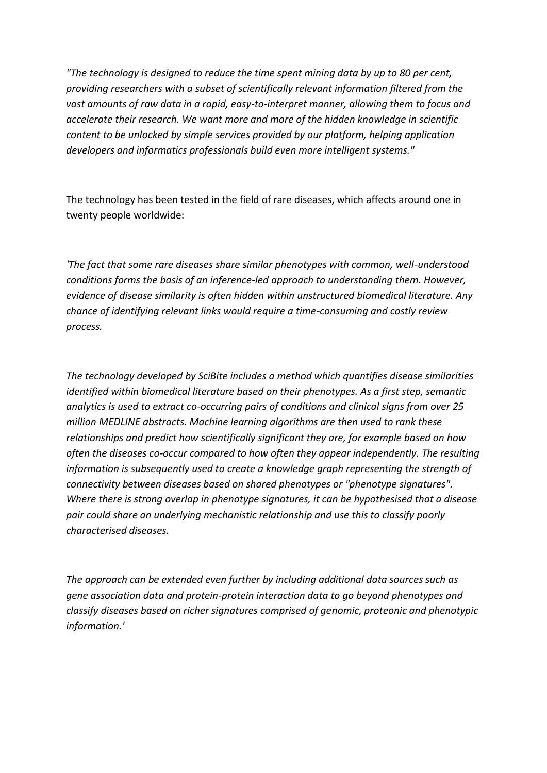*"The technology is designed to reduce the time spent mining data by up to 80 per cent, providing researchers with a subset of scientifically relevant information filtered from the vast amounts of raw data in a rapid, easy-to-interpret manner, allowing them to focus and accelerate their research. We want more and more of the hidden knowledge in scientific content to be unlocked by simple services provided by our platform, helping application developers and informatics professionals build even more intelligent systems."*

The technology has been tested in the field of rare diseases, which affects around one in twenty people worldwide:

*'The fact that some rare diseases share similar phenotypes with common, well-understood conditions forms the basis of an inference-led approach to understanding them. However, evidence of disease similarity is often hidden within unstructured biomedical literature. Any chance of identifying relevant links would require a time-consuming and costly review process.*

*The technology developed by SciBite includes a method which quantifies disease similarities identified within biomedical literature based on their phenotypes. As a first step, semantic analytics is used to extract co-occurring pairs of conditions and clinical signs from over 25 million MEDLINE abstracts. Machine learning algorithms are then used to rank these relationships and predict how scientifically significant they are, for example based on how often the diseases co-occur compared to how often they appear independently. The resulting information is subsequently used to create a knowledge graph representing the strength of connectivity between diseases based on shared phenotypes or "phenotype signatures". Where there is strong overlap in phenotype signatures, it can be hypothesised that a disease pair could share an underlying mechanistic relationship and use this to classify poorly characterised diseases.*

*The approach can be extended even further by including additional data sources such as gene association data and protein-protein interaction data to go beyond phenotypes and classify diseases based on richer signatures comprised of genomic, proteonic and phenotypic information.'*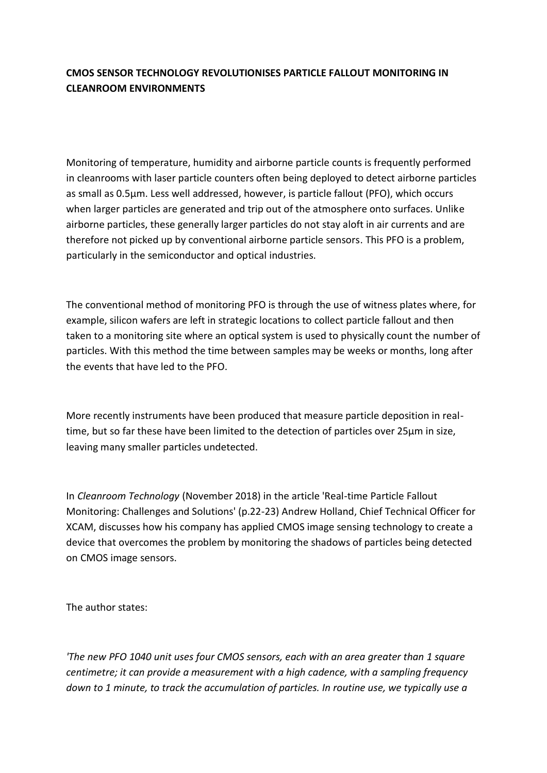# **CMOS SENSOR TECHNOLOGY REVOLUTIONISES PARTICLE FALLOUT MONITORING IN CLEANROOM ENVIRONMENTS**

Monitoring of temperature, humidity and airborne particle counts is frequently performed in cleanrooms with laser particle counters often being deployed to detect airborne particles as small as 0.5µm. Less well addressed, however, is particle fallout (PFO), which occurs when larger particles are generated and trip out of the atmosphere onto surfaces. Unlike airborne particles, these generally larger particles do not stay aloft in air currents and are therefore not picked up by conventional airborne particle sensors. This PFO is a problem, particularly in the semiconductor and optical industries.

The conventional method of monitoring PFO is through the use of witness plates where, for example, silicon wafers are left in strategic locations to collect particle fallout and then taken to a monitoring site where an optical system is used to physically count the number of particles. With this method the time between samples may be weeks or months, long after the events that have led to the PFO.

More recently instruments have been produced that measure particle deposition in realtime, but so far these have been limited to the detection of particles over 25µm in size, leaving many smaller particles undetected.

In *Cleanroom Technology* (November 2018) in the article 'Real-time Particle Fallout Monitoring: Challenges and Solutions' (p.22-23) Andrew Holland, Chief Technical Officer for XCAM, discusses how his company has applied CMOS image sensing technology to create a device that overcomes the problem by monitoring the shadows of particles being detected on CMOS image sensors.

The author states:

*'The new PFO 1040 unit uses four CMOS sensors, each with an area greater than 1 square centimetre; it can provide a measurement with a high cadence, with a sampling frequency down to 1 minute, to track the accumulation of particles. In routine use, we typically use a*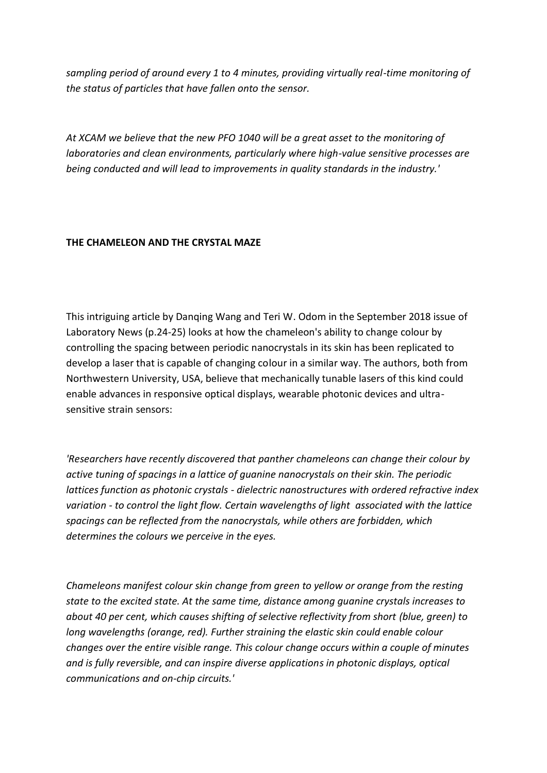*sampling period of around every 1 to 4 minutes, providing virtually real-time monitoring of the status of particles that have fallen onto the sensor.*

*At XCAM we believe that the new PFO 1040 will be a great asset to the monitoring of laboratories and clean environments, particularly where high-value sensitive processes are being conducted and will lead to improvements in quality standards in the industry.'*

### **THE CHAMELEON AND THE CRYSTAL MAZE**

This intriguing article by Danqing Wang and Teri W. Odom in the September 2018 issue of Laboratory News (p.24-25) looks at how the chameleon's ability to change colour by controlling the spacing between periodic nanocrystals in its skin has been replicated to develop a laser that is capable of changing colour in a similar way. The authors, both from Northwestern University, USA, believe that mechanically tunable lasers of this kind could enable advances in responsive optical displays, wearable photonic devices and ultrasensitive strain sensors:

*'Researchers have recently discovered that panther chameleons can change their colour by active tuning of spacings in a lattice of guanine nanocrystals on their skin. The periodic lattices function as photonic crystals - dielectric nanostructures with ordered refractive index variation - to control the light flow. Certain wavelengths of light associated with the lattice spacings can be reflected from the nanocrystals, while others are forbidden, which determines the colours we perceive in the eyes.*

*Chameleons manifest colour skin change from green to yellow or orange from the resting state to the excited state. At the same time, distance among guanine crystals increases to about 40 per cent, which causes shifting of selective reflectivity from short (blue, green) to long wavelengths (orange, red). Further straining the elastic skin could enable colour changes over the entire visible range. This colour change occurs within a couple of minutes and is fully reversible, and can inspire diverse applications in photonic displays, optical communications and on-chip circuits.'*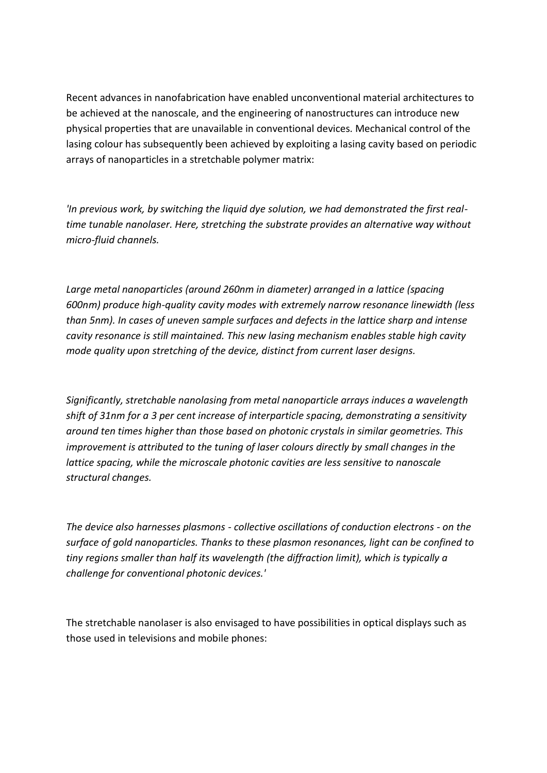Recent advances in nanofabrication have enabled unconventional material architectures to be achieved at the nanoscale, and the engineering of nanostructures can introduce new physical properties that are unavailable in conventional devices. Mechanical control of the lasing colour has subsequently been achieved by exploiting a lasing cavity based on periodic arrays of nanoparticles in a stretchable polymer matrix:

*'In previous work, by switching the liquid dye solution, we had demonstrated the first realtime tunable nanolaser. Here, stretching the substrate provides an alternative way without micro-fluid channels.*

*Large metal nanoparticles (around 260nm in diameter) arranged in a lattice (spacing 600nm) produce high-quality cavity modes with extremely narrow resonance linewidth (less than 5nm). In cases of uneven sample surfaces and defects in the lattice sharp and intense cavity resonance is still maintained. This new lasing mechanism enables stable high cavity mode quality upon stretching of the device, distinct from current laser designs.*

*Significantly, stretchable nanolasing from metal nanoparticle arrays induces a wavelength shift of 31nm for a 3 per cent increase of interparticle spacing, demonstrating a sensitivity around ten times higher than those based on photonic crystals in similar geometries. This improvement is attributed to the tuning of laser colours directly by small changes in the lattice spacing, while the microscale photonic cavities are less sensitive to nanoscale structural changes.*

*The device also harnesses plasmons - collective oscillations of conduction electrons - on the surface of gold nanoparticles. Thanks to these plasmon resonances, light can be confined to tiny regions smaller than half its wavelength (the diffraction limit), which is typically a challenge for conventional photonic devices.'*

The stretchable nanolaser is also envisaged to have possibilities in optical displays such as those used in televisions and mobile phones: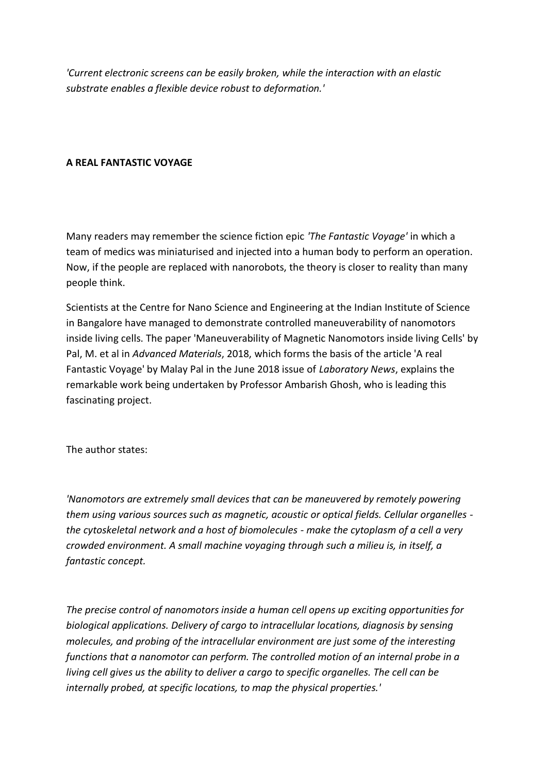*'Current electronic screens can be easily broken, while the interaction with an elastic substrate enables a flexible device robust to deformation.'*

#### **A REAL FANTASTIC VOYAGE**

Many readers may remember the science fiction epic *'The Fantastic Voyage'* in which a team of medics was miniaturised and injected into a human body to perform an operation. Now, if the people are replaced with nanorobots, the theory is closer to reality than many people think.

Scientists at the Centre for Nano Science and Engineering at the Indian Institute of Science in Bangalore have managed to demonstrate controlled maneuverability of nanomotors inside living cells. The paper 'Maneuverability of Magnetic Nanomotors inside living Cells' by Pal, M. et al in *Advanced Materials*, 2018, which forms the basis of the article 'A real Fantastic Voyage' by Malay Pal in the June 2018 issue of *Laboratory News*, explains the remarkable work being undertaken by Professor Ambarish Ghosh, who is leading this fascinating project.

The author states:

*'Nanomotors are extremely small devices that can be maneuvered by remotely powering them using various sources such as magnetic, acoustic or optical fields. Cellular organelles the cytoskeletal network and a host of biomolecules - make the cytoplasm of a cell a very crowded environment. A small machine voyaging through such a milieu is, in itself, a fantastic concept.*

*The precise control of nanomotors inside a human cell opens up exciting opportunities for biological applications. Delivery of cargo to intracellular locations, diagnosis by sensing molecules, and probing of the intracellular environment are just some of the interesting functions that a nanomotor can perform. The controlled motion of an internal probe in a living cell gives us the ability to deliver a cargo to specific organelles. The cell can be internally probed, at specific locations, to map the physical properties.'*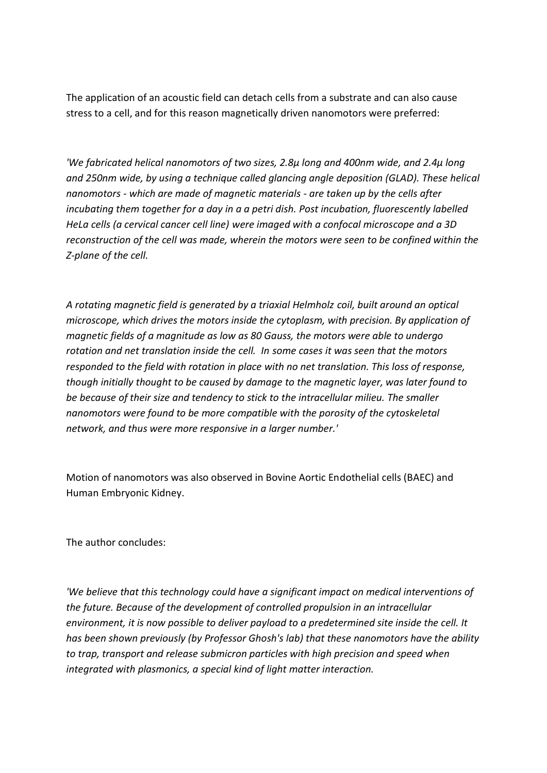The application of an acoustic field can detach cells from a substrate and can also cause stress to a cell, and for this reason magnetically driven nanomotors were preferred:

*'We fabricated helical nanomotors of two sizes, 2.8µ long and 400nm wide, and 2.4µ long and 250nm wide, by using a technique called glancing angle deposition (GLAD). These helical nanomotors - which are made of magnetic materials - are taken up by the cells after incubating them together for a day in a a petri dish. Post incubation, fluorescently labelled HeLa cells (a cervical cancer cell line) were imaged with a confocal microscope and a 3D reconstruction of the cell was made, wherein the motors were seen to be confined within the Z-plane of the cell.*

*A rotating magnetic field is generated by a triaxial Helmholz coil, built around an optical microscope, which drives the motors inside the cytoplasm, with precision. By application of magnetic fields of a magnitude as low as 80 Gauss, the motors were able to undergo rotation and net translation inside the cell. In some cases it was seen that the motors responded to the field with rotation in place with no net translation. This loss of response, though initially thought to be caused by damage to the magnetic layer, was later found to be because of their size and tendency to stick to the intracellular milieu. The smaller nanomotors were found to be more compatible with the porosity of the cytoskeletal network, and thus were more responsive in a larger number.'*

Motion of nanomotors was also observed in Bovine Aortic Endothelial cells (BAEC) and Human Embryonic Kidney.

The author concludes:

*'We believe that this technology could have a significant impact on medical interventions of the future. Because of the development of controlled propulsion in an intracellular environment, it is now possible to deliver payload to a predetermined site inside the cell. It has been shown previously (by Professor Ghosh's lab) that these nanomotors have the ability to trap, transport and release submicron particles with high precision and speed when integrated with plasmonics, a special kind of light matter interaction.*